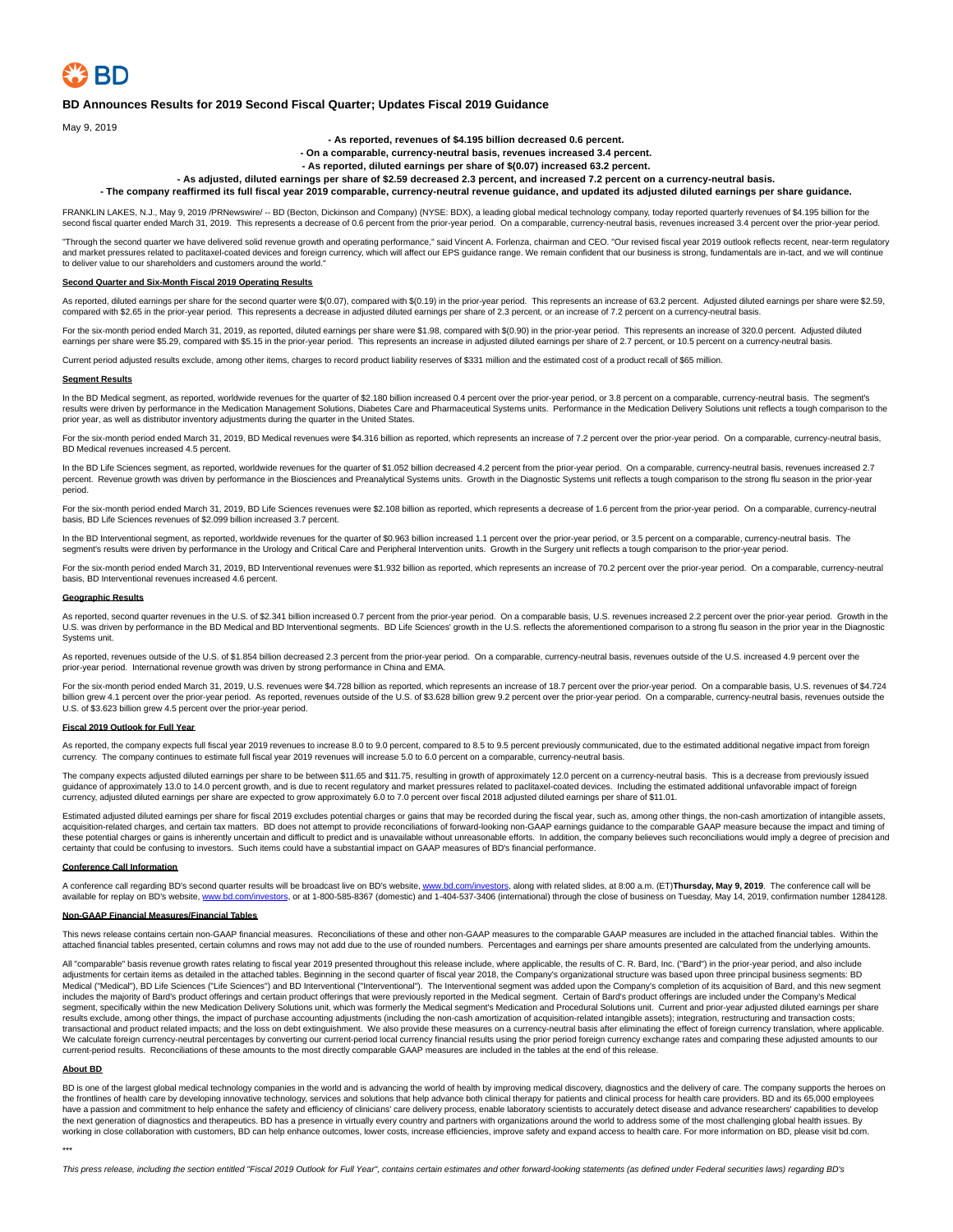

## **BD Announces Results for 2019 Second Fiscal Quarter; Updates Fiscal 2019 Guidance**

May 9, 2019

**- As reported, revenues of \$4.195 billion decreased 0.6 percent.**

**- On a comparable, currency-neutral basis, revenues increased 3.4 percent.**

**- As reported, diluted earnings per share of \$(0.07) increased 63.2 percent.**

**- As adjusted, diluted earnings per share of \$2.59 decreased 2.3 percent, and increased 7.2 percent on a currency-neutral basis.**

**- The company reaffirmed its full fiscal year 2019 comparable, currency-neutral revenue guidance, and updated its adjusted diluted earnings per share guidance.**

FRANKLIN LAKES, N.J., May 9, 2019 /PRNewswire/ -- BD (Becton, Dickinson and Company) (NYSE: BDX), a leading global medical technology company, today reported quarterly revenues of \$4.195 billion for the second fiscal quarter ended March 31, 2019. This represents a decrease of 0.6 percent from the prior-year period. On a comparable, currency-neutral basis, revenues increased 3.4 percent over the prior-year period.

"Through the second quarter we have delivered solid revenue growth and operating performance," said Vincent A. Forlenza, chairman and CEO. "Our revised fiscal year 2019 outlook reflects recent, near-term regulatory and market pressures related to paclitaxel-coated devices and foreign currency, which will affect our EPS guidance range. We remain confident that our business is strong, fundamentals are in-tact, and we will continue<br>to d

## **Second Quarter and Six-Month Fiscal 2019 Operating Results**

As reported, diluted earnings per share for the second quarter were \$(0.07), compared with \$(0.19) in the prior-year period. This represents an increase of 63.2 percent. Adjusted diluted earnings per share were \$2.59, compared with \$2.65 in the prior-year period. This represents a decrease in adjusted diluted earnings per share of 2.3 percent, or an increase of 7.2 percent on a currency-neutral basis.

For the six-month period ended March 31, 2019, as reported, diluted earnings per share were \$1.98, compared with \$(0.90) in the prior-year period. This represents an increase of 320.0 percent. Adjusted diluted<br>earnings per

Current period adjusted results exclude, among other items, charges to record product liability reserves of \$331 million and the estimated cost of a product recall of \$65 million.

### **Segment Results**

In the BD Medical segment, as reported, worldwide revenues for the quarter of \$2.180 billion increased 0.4 percent over the prior-year period, or 3.8 percent on a comparable, currency-neutral basis. The segment's results were driven by performance in the Medication Management Solutions, Diabetes Care and Pharmaceutical Systems units. Performance in the Medication Delivery Solutions unit reflects a tough comparison to the prior year, as well as distributor inventory adjustments during the quarter in the United States.

For the six-month period ended March 31, 2019, BD Medical revenues were \$4.316 billion as reported, which represents an increase of 7.2 percent over the prior-year period. On a comparable, currency-neutral basis, BD Medical revenues increased 4.5 percent.

In the BD Life Sciences segment, as reported, worldwide revenues for the quarter of \$1.052 billion decreased 4.2 percent from the prior-year period. On a comparable, currency-neutral basis, revenues increased 2.7 percent. Revenue growth was driven by performance in the Biosciences and Preanalytical Systems units. Growth in the Diagnostic Systems unit reflects a tough comparison to the strong flu season in the prior-year period.

For the six-month period ended March 31, 2019, BD Life Sciences revenues were \$2.108 billion as reported, which represents a decrease of 1.6 percent from the prior-year period. On a comparable, currency-neutral basis, BD Life Sciences revenues of \$2.099 billion increased 3.7 percent.

In the BD Interventional segment, as reported, worldwide revenues for the quarter of \$0.963 billion increased 1.1 percent over the prior-year period, or 3.5 percent on a comparable, currency-neutral basis. The segment's results were driven by performance in the Urology and Critical Care and Peripheral Intervention units. Growth in the Surgery unit reflects a tough comparison to the prior-year period.

For the six-month period ended March 31, 2019, BD Interventional revenues were \$1.932 billion as reported, which represents an increase of 70.2 percent over the prior-year period. On a comparable, currency-neutral basis, BD Interventional revenues increased 4.6 percent.

## **Geographic Results**

As reported, second quarter revenues in the U.S. of \$2.341 billion increased 0.7 percent from the prior-year period. On a comparable basis, U.S. revenues increased 2.2 percent over the prior-year period. Growth in the U.S. was driven by performance in the BD Medical and BD Interventional segments. BD Life Sciences' growth in the U.S. reflects the aforementioned comparison to a strong flu season in the prior year in the Diagnostic Systems unit.

As reported, revenues outside of the U.S. of \$1.854 billion decreased 2.3 percent from the prior-year period. On a comparable, currency-neutral basis, revenues outside of the U.S. increased 4.9 percent over the prior-year period. International revenue growth was driven by strong performance in China and EMA.

For the six-month period ended March 31, 2019, U.S. revenues were \$4.728 billion as reported, which represents an increase of 18.7 percent over the prior-year period. On a comparable basis, U.S. revenues of \$4.724 billion grew 4.1 percent over the prior-year period. As reported, revenues outside of the U.S. of \$3.628 billion grew 9.2 percent over the prior-year period. On a comparable, currency-neutral basis, revenues outside the U.S. of \$3.623 billion grew 4.5 percent over the prior-year period.

## **Fiscal 2019 Outlook for Full Year**

As reported, the company expects full fiscal year 2019 revenues to increase 8.0 to 9.0 percent, compared to 8.5 to 9.5 percent previously communicated, due to the estimated additional negative impact from foreign currency. The company continues to estimate full fiscal year 2019 revenues will increase 5.0 to 6.0 percent on a comparable, currency-neutral basis.

The company expects adjusted diluted earnings per share to be between \$11.65 and \$11.75, resulting in growth of approximately 12.0 percent on a currency-neutral basis. This is a decrease from previously issued guidance of approximately 13.0 to 14.0 percent growth, and is due to recent regulatory and market pressures related to paclitaxel-coated devices. Including the estimated additional unfavorable impact of foreign currency, adjusted diluted earnings per share are expected to grow approximately 6.0 to 7.0 percent over fiscal 2018 adjusted diluted earnings per share of \$11.01.

Estimated adjusted diluted earnings per share for fiscal 2019 excludes potential charges or gains that may be recorded during the fiscal year, such as, among other things, the non-cash amortization of intangible assets,<br>ac these potential charges or gains is inherently uncertain and difficult to predict and is unavailable without unreasonable efforts. In addition, the company believes such reconciliations would imply a degree of precision and certainty that could be confusing to investors. Such items could have a substantial impact on GAAP measures of BD's financial performance.

## **Conference Call Information**

A conference call regarding BD's second quarter results will be broadcast live on BD's website, <u>www.bd.com/investors</u>, along with related slides, at 8:00 a.m. (ET)**Thursday, May 9, 2019**. The conference call will be<br>avail

## **Non-GAAP Financial Measures/Financial Tables**

This news release contains certain non-GAAP financial measures. Reconciliations of these and other non-GAAP measures to the comparable GAAP measures are included in the attached financial tables. Within the attached financial tables presented, certain columns and rows may not add due to the use of rounded numbers. Percentages and earnings per share amounts presented are calculated from the underlying amounts.

All "comparable" basis revenue growth rates relating to fiscal year 2019 presented throughout this release include, where applicable, the results of C. R. Bard, Inc. ("Bard") in the prior-year period, and also include adjustments for certain items as detailed in the attached tables. Beginning in the second quarter of fiscal year 2018, the Company's organizational structure was based upon three principal business segments: BD Medical ("Medical"), BD Life Sciences ("Life Sciences") and BD Interventional ("Interventional"). The Interventional segment was added upon the Company's completion of its acquisition of Bard, and this new segment includes the majority of Bard's product offerings and certain product offerings that were previously reported in the Medical segment. Certain of Bard's product offerings are included under the Company's Medical<br>segment, sp results exclude, among other things, the impact of purchase accounting adjustments (including the non-cash amortization of acquisition-related intangible assets); integration, restructuring and transaction costs; transactional and product related impacts; and the loss on debt extinguishment. We also provide these measures on a currency-neutral basis after eliminating the effect of foreign currency translation, where applicable.<br>We current-period results. Reconciliations of these amounts to the most directly comparable GAAP measures are included in the tables at the end of this release.

## **About BD**

BD is one of the largest global medical technology companies in the world and is advancing the world of health by improving medical discovery, diagnostics and the delivery of care. The company supports the heroes on the frontlines of health care by developing innovative technology, services and solutions that help advance both clinical therapy for patients and clinical process for health care providers. BD and its 65,000 employees have a passion and commitment to help enhance the safety and efficiency of clinicians' care delivery process, enable laboratory scientists to accurately detect disease and advance researchers' capabilities to develop the next generation of diagnostics and therapeutics. BD has a presence in virtually every country and partners with organizations around the world to address some of the most challenging global health issues. By working in close collaboration with customers, BD can help enhance outcomes, lower costs, increase efficiencies, improve safety and expand access to health care. For more information on BD, please visit bd.com.

\*\*\*

This press release, including the section entitled "Fiscal 2019 Outlook for Full Year", contains certain estimates and other forward-looking statements (as defined under Federal securities laws) regarding BD's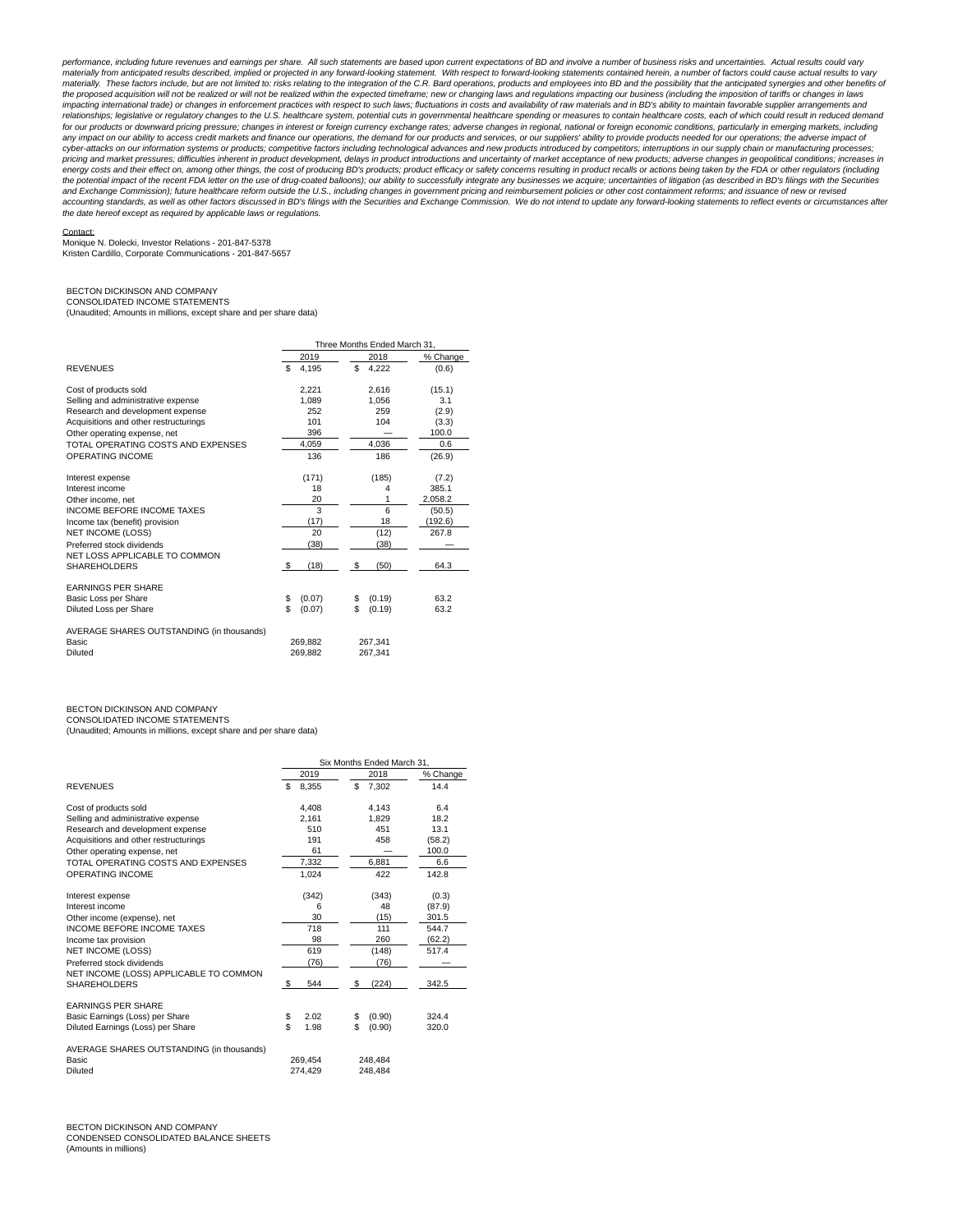performance, including future revenues and earnings per share. All such statements are based upon current expectations of BD and involve a number of business risks and uncertainties. Actual results could vary materially from anticipated results described, implied or projected in any forward-looking statement. With respect to forward-looking statements contained herein, a number of factors could cause actual results to vary<br>mate the proposed acquisition will not be realized or will not be realized within the expected timeframe; new or changing laws and regulations impacting our business (including the imposition of tariffs or changes in laws impacting international trade) or changes in enforcement practices with respect to such laws; fluctuations in costs and availability of raw materials and in BD's ability to maintain favorable supplier arrangements and<br>rela for our products or downward pricing pressure; changes in interest or foreign currency exchange rates; adverse changes in regional, national or foreign economic conditions, particularly in emerging markets, including any impact on our ability to access credit markets and finance our operations, the demand for our products and services, or our suppliers' ability to provide products needed for our operations; the adverse impact of cyber-attacks on our information systems or products; competitive factors including technological advances and new products introduced by competitors; interruptions in our supply chain or manufacturing processes; pricing and market pressures; difficulties inherent in product development, delays in product introductions and uncertainty of market acceptance of new products; adverse changes in geopolitical conditions; increases in<br>ene the potential impact of the recent FDA letter on the use of drug-coated balloons), our ability to successfully integrate any businesses we acquire; uncertainties of litigation (as described in BD's filings with the Securit and Exchange Commission); future healthcare reform outside the U.S., including changes in government pricing and reimbursement policies or other cost containment reforms; and issuance of new or revised<br>accounting standards the date hereof except as required by applicable laws or regulations.

### Contact:

Monique N. Dolecki, Investor Relations - 201-847-5378 Kristen Cardillo, Corporate Communications - 201-847-5657

## BECTON DICKINSON AND COMPANY CONSOLIDATED INCOME STATEMENTS

(Unaudited; Amounts in millions, except share and per share data)

|                                                    | Three Months Ended March 31, |                    |          |  |  |  |  |
|----------------------------------------------------|------------------------------|--------------------|----------|--|--|--|--|
|                                                    | 2019                         | 2018               | % Change |  |  |  |  |
| <b>REVENUES</b>                                    | \$<br>4.195                  | \$<br>4.222        | (0.6)    |  |  |  |  |
| Cost of products sold                              | 2.221                        | 2.616              | (15.1)   |  |  |  |  |
| Selling and administrative expense                 | 1.089                        | 1.056              | 3.1      |  |  |  |  |
| Research and development expense                   | 252                          | 259                | (2.9)    |  |  |  |  |
| Acquisitions and other restructurings              | 101                          | 104                | (3.3)    |  |  |  |  |
| Other operating expense, net                       | 396                          |                    | 100.0    |  |  |  |  |
| TOTAL OPERATING COSTS AND EXPENSES                 | 4.059                        | 4.036              | 0.6      |  |  |  |  |
| OPERATING INCOME                                   | 136                          | 186                | (26.9)   |  |  |  |  |
| Interest expense                                   | (171)                        | (185)              | (7.2)    |  |  |  |  |
| Interest income                                    | 18                           | 4                  | 385.1    |  |  |  |  |
| Other income, net                                  | 20                           |                    | 2.058.2  |  |  |  |  |
| INCOME BEFORE INCOME TAXES                         | 3                            | 6                  | (50.5)   |  |  |  |  |
| Income tax (benefit) provision                     | (17)                         | 18                 | (192.6)  |  |  |  |  |
| NET INCOME (LOSS)                                  | 20                           | (12)               | 267.8    |  |  |  |  |
| Preferred stock dividends                          | (38)                         | (38)               |          |  |  |  |  |
| NET LOSS APPLICABLE TO COMMON                      |                              |                    |          |  |  |  |  |
| <b>SHAREHOLDERS</b>                                | (18)<br>-S                   | (50)<br>\$         | 64.3     |  |  |  |  |
| <b>EARNINGS PER SHARE</b>                          |                              |                    |          |  |  |  |  |
| Basic Loss per Share                               | \$<br>(0.07)                 | (0.19)<br>\$       | 63.2     |  |  |  |  |
| Diluted Loss per Share                             | \$<br>(0.07)                 | \$<br>(0.19)       | 63.2     |  |  |  |  |
| AVERAGE SHARES OUTSTANDING (in thousands)<br>Basic |                              |                    |          |  |  |  |  |
| Diluted                                            | 269.882<br>269.882           | 267.341<br>267.341 |          |  |  |  |  |

BECTON DICKINSON AND COMPANY

CONSOLIDATED INCOME STATEMENTS

(Unaudited; Amounts in millions, except share and per share data)

|                                           | Six Months Ended March 31. |         |    |         |          |  |  |  |
|-------------------------------------------|----------------------------|---------|----|---------|----------|--|--|--|
|                                           |                            | 2019    |    | 2018    | % Change |  |  |  |
| <b>REVENUES</b>                           | \$                         | 8.355   | \$ | 7.302   | 14.4     |  |  |  |
| Cost of products sold                     |                            | 4.408   |    | 4.143   | 6.4      |  |  |  |
| Selling and administrative expense        |                            | 2.161   |    | 1.829   | 18.2     |  |  |  |
| Research and development expense          |                            | 510     |    | 451     | 13.1     |  |  |  |
| Acquisitions and other restructurings     |                            | 191     |    | 458     | (58.2)   |  |  |  |
| Other operating expense, net              |                            | 61      |    |         | 100.0    |  |  |  |
| TOTAL OPERATING COSTS AND EXPENSES        |                            | 7.332   |    | 6.881   | 6.6      |  |  |  |
| OPERATING INCOME                          |                            | 1.024   |    | 422     | 142.8    |  |  |  |
| Interest expense                          |                            | (342)   |    | (343)   | (0.3)    |  |  |  |
| Interest income                           |                            | 6       |    | 48      | (87.9)   |  |  |  |
| Other income (expense), net               |                            | 30      |    | (15)    | 301.5    |  |  |  |
| <b>INCOME BEFORE INCOME TAXES</b>         |                            | 718     |    | 111     | 544.7    |  |  |  |
| Income tax provision                      |                            | 98      |    | 260     | (62.2)   |  |  |  |
| NET INCOME (LOSS)                         |                            | 619     |    | (148)   | 517.4    |  |  |  |
| Preferred stock dividends                 |                            | (76)    |    | (76)    |          |  |  |  |
| NET INCOME (LOSS) APPLICABLE TO COMMON    |                            |         |    |         |          |  |  |  |
| <b>SHAREHOLDERS</b>                       | \$                         | 544     | \$ | (224)   | 342.5    |  |  |  |
| <b>EARNINGS PER SHARE</b>                 |                            |         |    |         |          |  |  |  |
| Basic Earnings (Loss) per Share           | \$                         | 2.02    | \$ | (0.90)  | 324.4    |  |  |  |
| Diluted Earnings (Loss) per Share         | \$                         | 1.98    | \$ | (0.90)  | 320.0    |  |  |  |
| AVERAGE SHARES OUTSTANDING (in thousands) |                            |         |    |         |          |  |  |  |
| Basic                                     |                            | 269.454 |    | 248.484 |          |  |  |  |
| Diluted                                   |                            | 274.429 |    | 248.484 |          |  |  |  |

BECTON DICKINSON AND COMPANY CONDENSED CONSOLIDATED BALANCE SHEETS (Amounts in millions)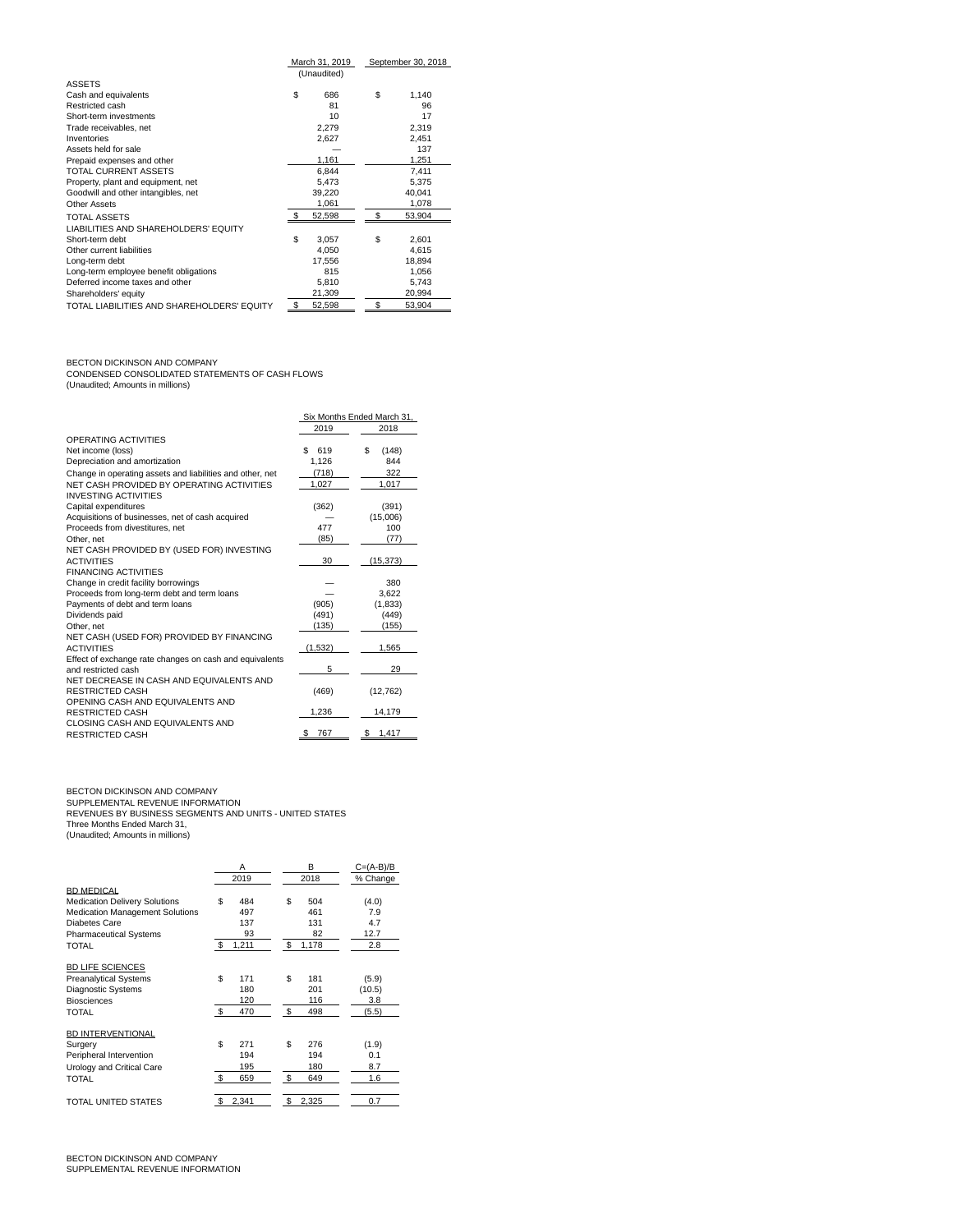|                                            |              | March 31, 2019 | September 30, 2018 |
|--------------------------------------------|--------------|----------------|--------------------|
|                                            |              | (Unaudited)    |                    |
| <b>ASSETS</b>                              |              |                |                    |
| Cash and equivalents                       | \$           | 686            | \$<br>1,140        |
| Restricted cash                            |              | 81             | 96                 |
| Short-term investments                     |              | 10             | 17                 |
| Trade receivables, net                     |              | 2,279          | 2,319              |
| Inventories                                |              | 2,627          | 2,451              |
| Assets held for sale                       |              |                | 137                |
| Prepaid expenses and other                 |              | 1,161          | 1,251              |
| <b>TOTAL CURRENT ASSETS</b>                |              | 6,844          | 7,411              |
| Property, plant and equipment, net         |              | 5,473          | 5.375              |
| Goodwill and other intangibles, net        |              | 39,220         | 40,041             |
| Other Assets                               |              | 1,061          | 1,078              |
| <b>TOTAL ASSETS</b>                        | $\mathbf{s}$ | 52,598         | \$<br>53,904       |
| LIABILITIES AND SHAREHOLDERS' EQUITY       |              |                |                    |
| Short-term debt                            | \$           | 3.057          | \$<br>2,601        |
| Other current liabilities                  |              | 4,050          | 4,615              |
| Long-term debt                             |              | 17.556         | 18.894             |
| Long-term employee benefit obligations     |              | 815            | 1,056              |
| Deferred income taxes and other            |              | 5.810          | 5,743              |
| Shareholders' equity                       |              | 21,309         | 20,994             |
| TOTAL LIABILITIES AND SHAREHOLDERS' EQUITY | \$           | 52,598         | \$<br>53,904       |

BECTON DICKINSON AND COMPANY<br>CONDENSED CONSOLIDATED STATEMENTS OF CASH FLOWS<br>(Unaudited; Amounts in millions)

|                                                           |           | Six Months Ended March 31, |
|-----------------------------------------------------------|-----------|----------------------------|
|                                                           | 2019      | 2018                       |
| OPERATING ACTIVITIES                                      |           |                            |
| Net income (loss)                                         | \$<br>619 | S<br>(148)                 |
| Depreciation and amortization                             | 1.126     | 844                        |
| Change in operating assets and liabilities and other, net | (718)     | 322                        |
| NET CASH PROVIDED BY OPERATING ACTIVITIES                 | 1.027     | 1.017                      |
| <b>INVESTING ACTIVITIES</b>                               |           |                            |
| Capital expenditures                                      | (362)     | (391)                      |
| Acquisitions of businesses, net of cash acquired          |           | (15,006)                   |
| Proceeds from divestitures, net                           | 477       | 100                        |
| Other, net                                                | (85)      | (77)                       |
| NET CASH PROVIDED BY (USED FOR) INVESTING                 |           |                            |
| <b>ACTIVITIES</b>                                         | 30        | (15, 373)                  |
| <b>FINANCING ACTIVITIES</b>                               |           |                            |
| Change in credit facility borrowings                      |           | 380                        |
| Proceeds from long-term debt and term loans               |           | 3.622                      |
| Payments of debt and term loans                           | (905)     | (1,833)                    |
| Dividends paid                                            | (491)     | (449)                      |
| Other, net                                                | (135)     | (155)                      |
| NET CASH (USED FOR) PROVIDED BY FINANCING                 |           |                            |
| <b>ACTIVITIES</b>                                         | (1,532)   | 1,565                      |
| Effect of exchange rate changes on cash and equivalents   |           |                            |
| and restricted cash                                       | 5         | 29                         |
| NET DECREASE IN CASH AND EQUIVALENTS AND                  |           |                            |
| <b>RESTRICTED CASH</b>                                    | (469)     | (12, 762)                  |
| OPENING CASH AND EQUIVALENTS AND                          |           |                            |
| <b>RESTRICTED CASH</b>                                    | 1,236     | 14,179                     |
| CLOSING CASH AND EQUIVALENTS AND                          |           |                            |
| <b>RESTRICTED CASH</b>                                    | 767       | 1,417                      |

# BECTON DICKINSON AND COMPANY<br>SUPPLEMENTAL REVENUE INFORMATION<br>REVENUES BY BUSINESS SEGMENTS AND UNITS - UNITED STATES<br>Three Months Ended March 31,<br>(Unaudited; Amounts in millions)

|                                        | Α<br>2019   |    | B<br>2018 | $C=(A-B)/B$<br>% Change |
|----------------------------------------|-------------|----|-----------|-------------------------|
| <b>BD MEDICAL</b>                      |             |    |           |                         |
| <b>Medication Delivery Solutions</b>   | \$<br>484   | \$ | 504       | (4.0)                   |
| <b>Medication Management Solutions</b> | 497         |    | 461       | 7.9                     |
| Diabetes Care                          | 137         |    | 131       | 4.7                     |
| <b>Pharmaceutical Systems</b>          | 93          |    | 82        | 12.7                    |
| TOTAL                                  | \$<br>1,211 | \$ | 1,178     | 2.8                     |
| <b>BD LIFE SCIENCES</b>                |             |    |           |                         |
| <b>Preanalytical Systems</b>           | \$<br>171   | \$ | 181       | (5.9)                   |
| <b>Diagnostic Systems</b>              | 180         |    | 201       | (10.5)                  |
| <b>Biosciences</b>                     | 120         |    | 116       | 3.8                     |
| <b>TOTAL</b>                           | \$<br>470   | -S | 498       | (5.5)                   |
| <b>BD INTERVENTIONAL</b>               |             |    |           |                         |
| Surgery                                | \$<br>271   | \$ | 276       | (1.9)                   |
| Peripheral Intervention                | 194         |    | 194       | 0.1                     |
| Urology and Critical Care              | 195         |    | 180       | 8.7                     |
| <b>TOTAL</b>                           | \$<br>659   | -S | 649       | 1.6                     |
| TOTAL UNITED STATES                    | \$<br>2,341 | \$ | 2,325     | 0.7                     |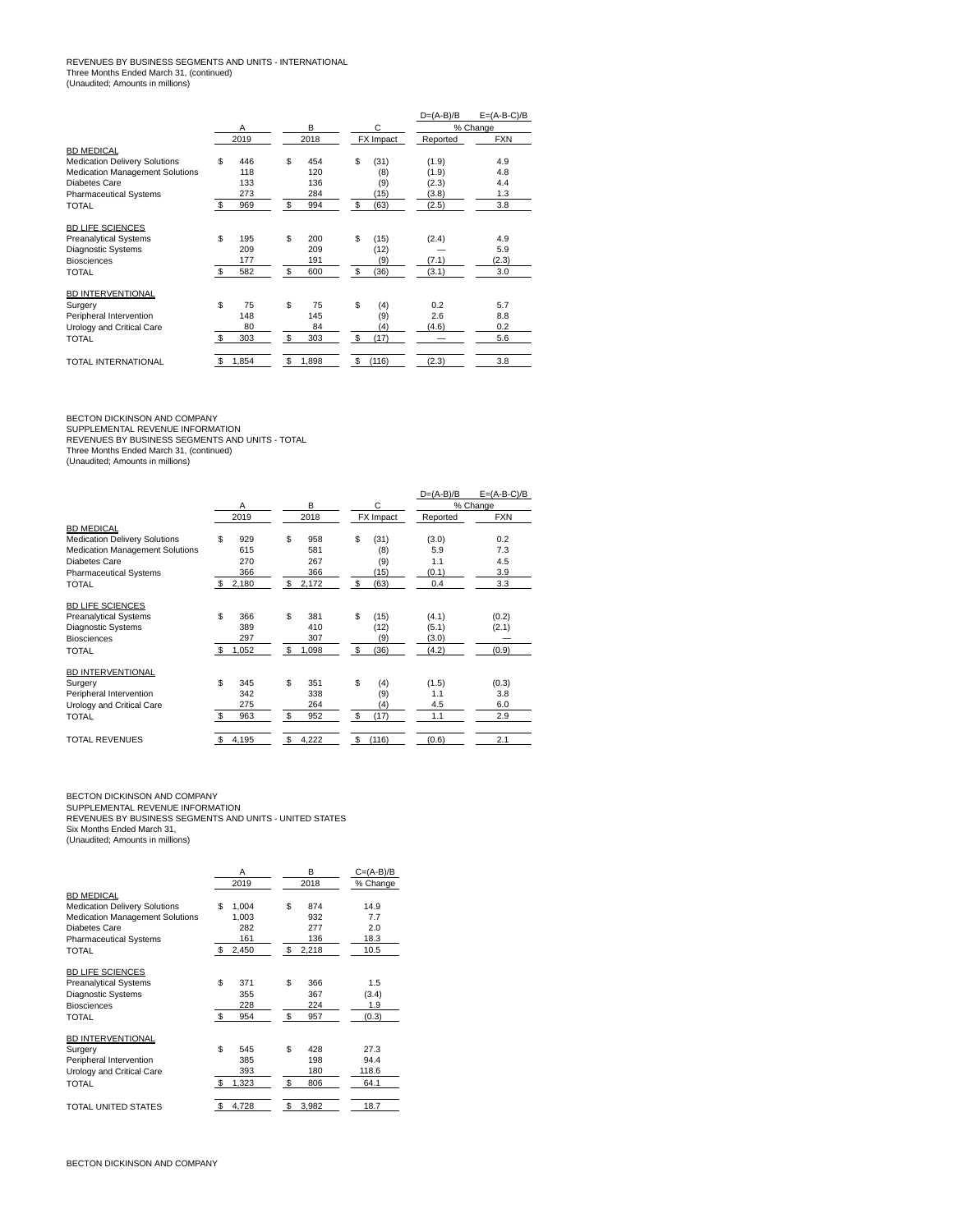## REVENUES BY BUSINESS SEGMENTS AND UNITS - INTERNATIONAL Three Months Ended March 31, (continued) (Unaudited; Amounts in millions)

|                                      |              |       |     |       |    |           | $D=(A-B)/B$ | $E=(A-B-C)/B$ |
|--------------------------------------|--------------|-------|-----|-------|----|-----------|-------------|---------------|
|                                      |              | Α     |     | в     |    | C         |             | % Change      |
|                                      |              | 2019  |     | 2018  |    | FX Impact | Reported    | <b>FXN</b>    |
| <b>BD MEDICAL</b>                    |              |       |     |       |    |           |             |               |
| <b>Medication Delivery Solutions</b> | \$           | 446   | \$  | 454   | \$ | (31)      | (1.9)       | 4.9           |
| Medication Management Solutions      |              | 118   |     | 120   |    | (8)       | (1.9)       | 4.8           |
| Diabetes Care                        |              | 133   |     | 136   |    | (9)       | (2.3)       | 4.4           |
| <b>Pharmaceutical Systems</b>        |              | 273   |     | 284   |    | (15)      | (3.8)       | 1.3           |
| <b>TOTAL</b>                         | -S           | 969   | S   | 994   | -S | (63)      | (2.5)       | 3.8           |
| <b>BD LIFE SCIENCES</b>              |              |       |     |       |    |           |             |               |
| <b>Preanalytical Systems</b>         | \$           | 195   | \$  | 200   | \$ | (15)      | (2.4)       | 4.9           |
| <b>Diagnostic Systems</b>            |              | 209   |     | 209   |    | (12)      |             | 5.9           |
| <b>Biosciences</b>                   |              | 177   |     | 191   |    | (9)       | (7.1)       | (2.3)         |
| <b>TOTAL</b>                         | \$.          | 582   | S   | 600   | \$ | (36)      | (3.1)       | 3.0           |
| <b>BD INTERVENTIONAL</b>             |              |       |     |       |    |           |             |               |
| Surgery                              | \$           | 75    | \$  | 75    | \$ | (4)       | 0.2         | 5.7           |
| Peripheral Intervention              |              | 148   |     | 145   |    | (9)       | 2.6         | 8.8           |
| Urology and Critical Care            |              | 80    |     | 84    |    | (4)       | (4.6)       | 0.2           |
| <b>TOTAL</b>                         | $\mathbf{s}$ | 303   | \$. | 303   | \$ | (17)      |             | 5.6           |
| <b>TOTAL INTERNATIONAL</b>           | \$           | 1,854 | \$  | 1,898 | \$ | (116)     | (2.3)       | 3.8           |

BECTON DICKINSON AND COMPANY<br>SUPPLEMENTAL REVENUE INFORMATION<br>REVENUES BY BUSINESS SEGMENTS AND UNITS - TOTAL<br>Three Months Ended March 31, (continued)<br>(Unaudited; Amounts in millions)

|                                        |              |       |    |       |    |           | $D=(A-B)/B$ | $E=(A-B-C)/B$ |
|----------------------------------------|--------------|-------|----|-------|----|-----------|-------------|---------------|
|                                        |              | A     |    | в     |    | С         |             | % Change      |
|                                        |              | 2019  |    | 2018  |    | FX Impact | Reported    | <b>FXN</b>    |
| <b>BD MEDICAL</b>                      |              |       |    |       |    |           |             |               |
| <b>Medication Delivery Solutions</b>   | \$           | 929   | \$ | 958   | \$ | (31)      | (3.0)       | 0.2           |
| <b>Medication Management Solutions</b> |              | 615   |    | 581   |    | (8)       | 5.9         | 7.3           |
| Diabetes Care                          |              | 270   |    | 267   |    | (9)       | 1.1         | 4.5           |
| <b>Pharmaceutical Systems</b>          |              | 366   |    | 366   |    | (15)      | (0.1)       | 3.9           |
| <b>TOTAL</b>                           | \$           | 2,180 | S  | 2,172 | S  | (63)      | 0.4         | 3.3           |
| <b>BD LIFE SCIENCES</b>                |              |       |    |       |    |           |             |               |
| <b>Preanalytical Systems</b>           | \$           | 366   | S  | 381   | \$ | (15)      | (4.1)       | (0.2)         |
| <b>Diagnostic Systems</b>              |              | 389   |    | 410   |    | (12)      | (5.1)       | (2.1)         |
| <b>Biosciences</b>                     |              | 297   |    | 307   |    | (9)       | (3.0)       |               |
| <b>TOTAL</b>                           | \$           | 1,052 | \$ | 1,098 | \$ | (36)      | (4.2)       | (0.9)         |
| <b>BD INTERVENTIONAL</b>               |              |       |    |       |    |           |             |               |
| Surgery                                | \$           | 345   | S  | 351   | \$ | (4)       | (1.5)       | (0.3)         |
| Peripheral Intervention                |              | 342   |    | 338   |    | (9)       | 1.1         | 3.8           |
| Urology and Critical Care              |              | 275   |    | 264   |    | (4)       | 4.5         | 6.0           |
| <b>TOTAL</b>                           | $\mathbf{s}$ | 963   | S  | 952   | \$ | (17)      | 1.1         | 2.9           |
| <b>TOTAL REVENUES</b>                  | \$           | 4,195 | \$ | 4,222 | \$ | (116)     | (0.6)       | 2.1           |

BECTON DICKINSON AND COMPANY<br>SUPPLEMENTAL REVENUE INFORMATION<br>REVENUES BY BUSINESS SEGMENTS AND UNITS - UNITED STATES<br>Six Months Ended March 31,

(Unaudited; Amounts in millions)

|                                        | А           | B           | $C=(A-B)/B$ |
|----------------------------------------|-------------|-------------|-------------|
|                                        | 2019        | 2018        | % Change    |
| <b>BD MEDICAL</b>                      |             |             |             |
| <b>Medication Delivery Solutions</b>   | \$<br>1.004 | S<br>874    | 14.9        |
| <b>Medication Management Solutions</b> | 1,003       | 932         | 7.7         |
| Diabetes Care                          | 282         | 277         | 2.0         |
| <b>Pharmaceutical Systems</b>          | 161         | 136         | 18.3        |
| TOTAL                                  | \$<br>2,450 | \$<br>2,218 | 10.5        |
| <b>BD LIFE SCIENCES</b>                |             |             |             |
| <b>Preanalytical Systems</b>           | \$<br>371   | Ś.<br>366   | 1.5         |
| <b>Diagnostic Systems</b>              | 355         | 367         | (3.4)       |
| <b>Biosciences</b>                     | 228         | 224         | 1.9         |
| TOTAL                                  | \$<br>954   | - \$<br>957 | (0.3)       |
| BD INTERVENTIONAL                      |             |             |             |
| Surgery                                | \$<br>545   | \$.<br>428  | 27.3        |
| Peripheral Intervention                | 385         | 198         | 94.4        |
| Urology and Critical Care              | 393         | 180         | 118.6       |
| TOTAL                                  | \$<br>1,323 | \$<br>806   | 64.1        |
| TOTAL UNITED STATES                    | \$<br>4,728 | S<br>3,982  | 18.7        |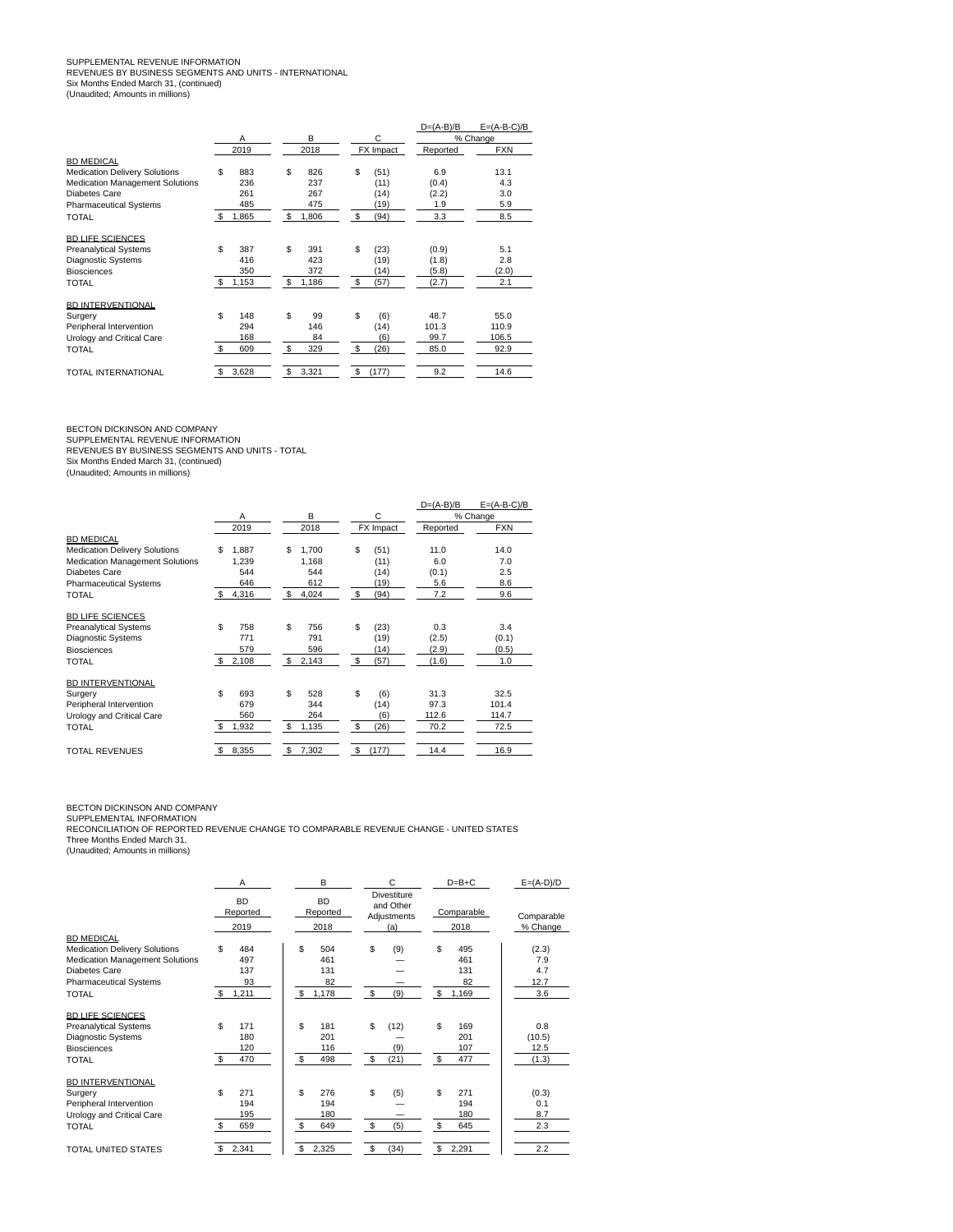## SUPPLEMENTAL REVENUE INFORMATION<br>REVENUES BY BUSINESS SEGMENTS AND UNITS - INTERNATIONAL<br>Six Months Ended March 31, (continued) (Unaudited; Amounts in millions)

|                                        |      |       |    |       |             | $D=(A-B)/B$ | $E=(A-B-C)/B$ |
|----------------------------------------|------|-------|----|-------|-------------|-------------|---------------|
|                                        |      | Α     |    | в     | C           |             | % Change      |
|                                        |      | 2019  |    | 2018  | FX Impact   | Reported    | <b>FXN</b>    |
| <b>BD MEDICAL</b>                      |      |       |    |       |             |             |               |
| <b>Medication Delivery Solutions</b>   | \$   | 883   | \$ | 826   | \$<br>(51)  | 6.9         | 13.1          |
| <b>Medication Management Solutions</b> |      | 236   |    | 237   | (11)        | (0.4)       | 4.3           |
| Diabetes Care                          |      | 261   |    | 267   | (14)        | (2.2)       | 3.0           |
| <b>Pharmaceutical Systems</b>          |      | 485   |    | 475   | (19)        | 1.9         | 5.9           |
| TOTAL                                  | - \$ | 1,865 | S  | 1,806 | \$<br>(94)  | 3.3         | 8.5           |
| <b>BD LIFE SCIENCES</b>                |      |       |    |       |             |             |               |
| <b>Preanalytical Systems</b>           | \$   | 387   | \$ | 391   | \$<br>(23)  | (0.9)       | 5.1           |
| <b>Diagnostic Systems</b>              |      | 416   |    | 423   | (19)        | (1.8)       | 2.8           |
| <b>Biosciences</b>                     |      | 350   |    | 372   | (14)        | (5.8)       | (2.0)         |
| <b>TOTAL</b>                           | -S   | 1,153 | \$ | 1,186 | \$<br>(57)  | (2.7)       | 2.1           |
| <b>BD INTERVENTIONAL</b>               |      |       |    |       |             |             |               |
| Surgery                                | \$   | 148   | \$ | 99    | \$<br>(6)   | 48.7        | 55.0          |
| Peripheral Intervention                |      | 294   |    | 146   | (14)        | 101.3       | 110.9         |
| Urology and Critical Care              |      | 168   |    | 84    | (6)         | 99.7        | 106.5         |
| <b>TOTAL</b>                           | \$   | 609   | \$ | 329   | \$<br>(26)  | 85.0        | 92.9          |
| TOTAL INTERNATIONAL                    | \$.  | 3,628 | \$ | 3,321 | \$<br>(177) | 9.2         | 14.6          |

BECTON DICKINSON AND COMPANY<br>SUPPLEMENTAL REVENUE INFORMATION<br>REVENUES BY BUSINESS SEGMENTS AND UNITS - TOTAL<br>Six Months Ended March 31, (continued)<br>(Unaudited; Amounts in millions)

|                                        |     |       |     |       |             | $D=(A-B)/B$ | $E=(A-B-C)/B$ |
|----------------------------------------|-----|-------|-----|-------|-------------|-------------|---------------|
|                                        | Α   |       |     | B     | С           |             | % Change      |
|                                        |     | 2019  |     | 2018  | FX Impact   | Reported    | <b>FXN</b>    |
| <b>BD MEDICAL</b>                      |     |       |     |       |             |             |               |
| <b>Medication Delivery Solutions</b>   | \$  | 1,887 | \$  | 1,700 | \$<br>(51)  | 11.0        | 14.0          |
| <b>Medication Management Solutions</b> |     | 1,239 |     | 1,168 | (11)        | 6.0         | 7.0           |
| Diabetes Care                          |     | 544   |     | 544   | (14)        | (0.1)       | 2.5           |
| <b>Pharmaceutical Systems</b>          |     | 646   |     | 612   | (19)        | 5.6         | 8.6           |
| <b>TOTAL</b>                           | \$. | 4,316 | \$  | 4,024 | \$<br>(94)  | 7.2         | 9.6           |
| <b>BD LIFE SCIENCES</b>                |     |       |     |       |             |             |               |
| <b>Preanalytical Systems</b>           | \$  | 758   | S   | 756   | \$<br>(23)  | 0.3         | 3.4           |
| <b>Diagnostic Systems</b>              |     | 771   |     | 791   | (19)        | (2.5)       | (0.1)         |
| <b>Biosciences</b>                     |     | 579   |     | 596   | (14)        | (2.9)       | (0.5)         |
| <b>TOTAL</b>                           | s.  | 2,108 | \$  | 2,143 | \$<br>(57)  | (1.6)       | 1.0           |
| BD INTERVENTIONAL                      |     |       |     |       |             |             |               |
| Surgery                                | \$  | 693   | \$  | 528   | \$<br>(6)   | 31.3        | 32.5          |
| Peripheral Intervention                |     | 679   |     | 344   | (14)        | 97.3        | 101.4         |
| Urology and Critical Care              |     | 560   |     | 264   | (6)         | 112.6       | 114.7         |
| <b>TOTAL</b>                           | -S  | 1,932 | \$. | 1,135 | \$<br>(26)  | 70.2        | 72.5          |
| <b>TOTAL REVENUES</b>                  | \$  | 8,355 | \$  | 7,302 | \$<br>(177) | 14.4        | 16.9          |

BECTON DICKINSON AND COMPANY<br>SUPPLEMENTAL INFORMATION<br>RECONCILIATION OF REPORTED REVENUE CHANGE TO COMPARABLE REVENUE CHANGE - UNITED STATES Three Months Ended March 31, (Unaudited; Amounts in millions)

|                                                                                                                                                  | A                                            | B                                            | C                                              | $D=B+C$                                      | $E=(A-D)/D$                        |
|--------------------------------------------------------------------------------------------------------------------------------------------------|----------------------------------------------|----------------------------------------------|------------------------------------------------|----------------------------------------------|------------------------------------|
|                                                                                                                                                  | <b>BD</b><br>Reported<br>2019                | <b>BD</b><br>Reported<br>2018                | <b>Divestiture</b><br>and Other<br>Adjustments | Comparable<br>2018                           | Comparable<br>% Change             |
| <b>BD MEDICAL</b>                                                                                                                                |                                              |                                              | (a)                                            |                                              |                                    |
| <b>Medication Delivery Solutions</b><br><b>Medication Management Solutions</b><br>Diabetes Care<br><b>Pharmaceutical Systems</b><br><b>TOTAL</b> | \$<br>484<br>497<br>137<br>93<br>1,211<br>s. | \$<br>504<br>461<br>131<br>82<br>\$<br>1,178 | \$<br>(9)<br>\$<br>(9)                         | \$<br>495<br>461<br>131<br>82<br>\$<br>1,169 | (2.3)<br>7.9<br>4.7<br>12.7<br>3.6 |
| <b>BD LIFE SCIENCES</b>                                                                                                                          |                                              |                                              |                                                |                                              |                                    |
| <b>Preanalytical Systems</b><br>Diagnostic Systems<br><b>Biosciences</b><br><b>TOTAL</b>                                                         | \$<br>171<br>180<br>120<br>\$<br>470         | \$<br>181<br>201<br>116<br>\$<br>498         | \$<br>(12)<br>(9)<br>\$<br>(21)                | \$<br>169<br>201<br>107<br>\$<br>477         | 0.8<br>(10.5)<br>12.5<br>(1.3)     |
| BD INTERVENTIONAL<br>Surgery                                                                                                                     | \$<br>271                                    | \$<br>276                                    | \$<br>(5)                                      | \$<br>271                                    | (0.3)                              |
| Peripheral Intervention<br>Urology and Critical Care                                                                                             | 194<br>195                                   | 194<br>180                                   |                                                | 194<br>180                                   | 0.1<br>8.7                         |
| <b>TOTAL</b>                                                                                                                                     | \$<br>659                                    | \$<br>649                                    | \$<br>(5)                                      | \$<br>645                                    | 2.3                                |
| TOTAL UNITED STATES                                                                                                                              | 2,341<br>\$                                  | \$<br>2,325                                  | \$<br>(34)                                     | \$<br>2,291                                  | 2.2                                |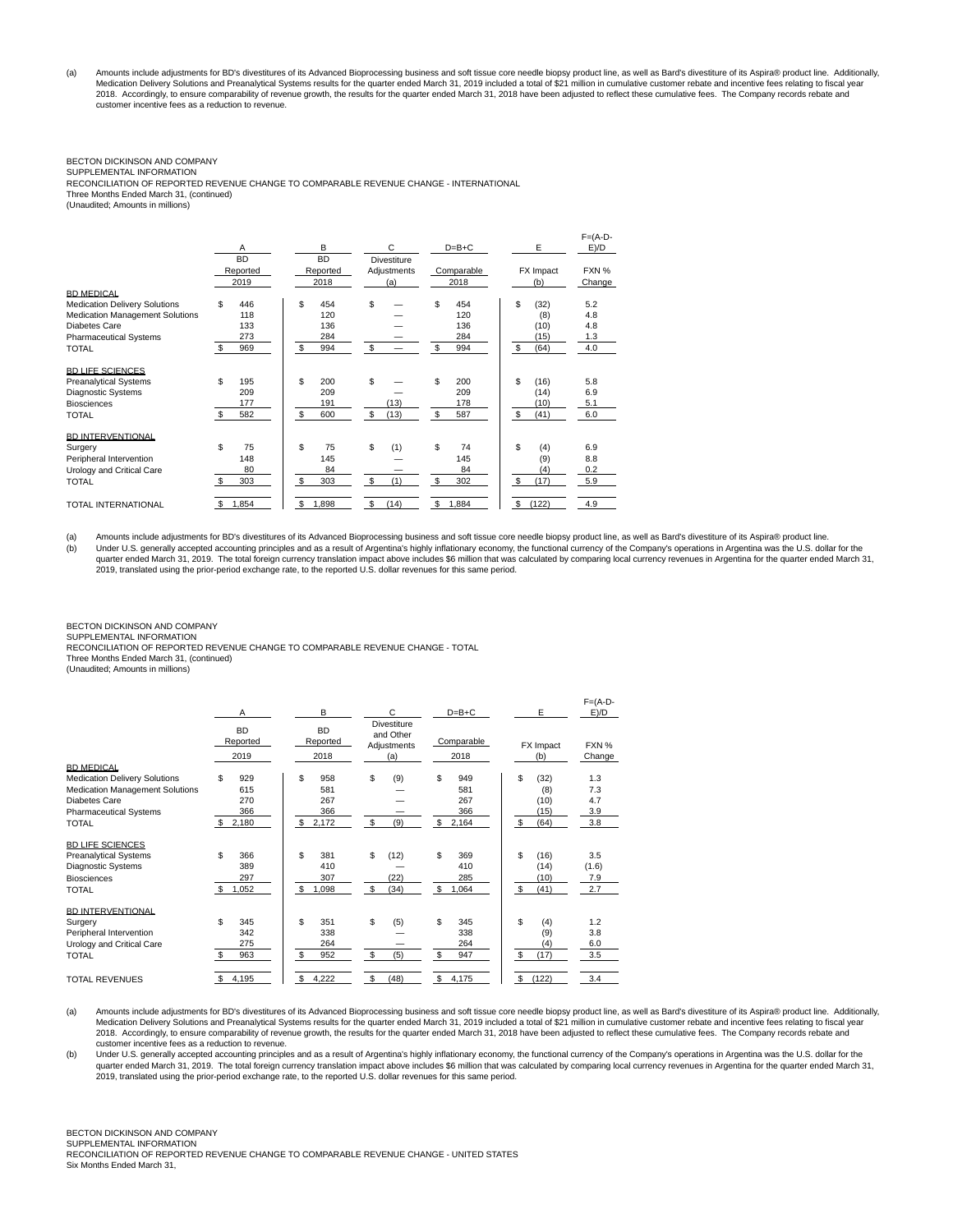(a) Amounts include adjustments for BD's divestitures of its Advanced Bioprocessing business and soft tissue core needle biopsy product line, as well as Bard's divestiture of its Aspira® product line. Additionally,<br>Medicat 2018. Accordingly, to ensure comparability of revenue growth, the results for the quarter ended March 31, 2018 have been adjusted to reflect these cumulative fees. The Company records rebate and customer incentive fees as a reduction to revenue.

## BECTON DICKINSON AND COMPANY

SUPPLEMENTAL INFORMATION RECONCILIATION OF REPORTED REVENUE CHANGE TO COMPARABLE REVENUE CHANGE - INTERNATIONAL Three Months Ended March 31, (continued) (Unaudited; Amounts in millions)

|                                        |             |             |                    |             |             | $F = (A-D -$ |
|----------------------------------------|-------------|-------------|--------------------|-------------|-------------|--------------|
|                                        | Α           | B           | C                  | $D=B+C$     | E           | E)/D         |
|                                        | <b>BD</b>   | <b>BD</b>   | <b>Divestiture</b> |             |             |              |
|                                        | Reported    | Reported    | Adjustments        | Comparable  | FX Impact   | FXN %        |
|                                        | 2019        | 2018        | (a)                | 2018        | (b)         | Change       |
| <b>BD MEDICAL</b>                      |             |             |                    |             |             |              |
| <b>Medication Delivery Solutions</b>   | \$<br>446   | \$<br>454   | \$.                | \$<br>454   | S<br>(32)   | 5.2          |
| <b>Medication Management Solutions</b> | 118         | 120         |                    | 120         | (8)         | 4.8          |
| Diabetes Care                          | 133         | 136         |                    | 136         | (10)        | 4.8          |
| <b>Pharmaceutical Systems</b>          | 273         | 284         |                    | 284         | (15)        | 1.3          |
| <b>TOTAL</b>                           | \$<br>969   | \$<br>994   | \$                 | S<br>994    | \$<br>(64)  | 4.0          |
|                                        |             |             |                    |             |             |              |
| <b>BD LIFE SCIENCES</b>                |             |             |                    |             |             |              |
| <b>Preanalytical Systems</b>           | \$<br>195   | \$.<br>200  | \$                 | \$<br>200   | \$.<br>(16) | 5.8          |
| Diagnostic Systems                     | 209         | 209         |                    | 209         | (14)        | 6.9          |
| <b>Biosciences</b>                     | 177         | 191         | (13)               | 178         | (10)        | 5.1          |
| <b>TOTAL</b>                           | \$<br>582   | \$<br>600   | \$<br>(13)         | S<br>587    | S<br>(41)   | 6.0          |
|                                        |             |             |                    |             |             |              |
| <b>BD INTERVENTIONAL</b>               |             |             |                    |             |             |              |
| Surgery                                | \$<br>75    | \$<br>75    | \$<br>(1)          | \$<br>74    | \$.<br>(4)  | 6.9          |
| Peripheral Intervention                | 148         | 145         |                    | 145         | (9)         | 8.8          |
| Urology and Critical Care              | 80          | 84          |                    | 84          | (4)         | 0.2          |
|                                        | \$          | \$<br>303   | \$<br>(1)          | S           | \$          |              |
| <b>TOTAL</b>                           | 303         |             |                    | 302         | (17)        | 5.9          |
|                                        | 1,854<br>\$ | \$<br>1,898 | S<br>(14)          | \$<br>1,884 | \$<br>(122) | 4.9          |
| <b>TOTAL INTERNATIONAL</b>             |             |             |                    |             |             |              |

(a) Amounts include adjustments for BD's divestitures of its Advanced Bioprocessing business and soft tissue core needle biopsy product line, as well as Bard's divestiture of its Aspira® product line. (b) Under U.S. generally accepted accounting principles and as a result of Argentina's highly inflationary economy, the functional currency of the Company's operations in Argentina was the U.S. dollar for the quarter ended March 31, 2019. The total foreign currency translation impact above includes \$6 million that was calculated by comparing local currency revenues in Argentina for the quarter ended March 31, 2019, translated using the prior-period exchange rate, to the reported U.S. dollar revenues for this same period.

BECTON DICKINSON AND COMPANY SUPPLEMENTAL INFORMATION

RECONCILIATION OF REPORTED REVENUE CHANGE TO COMPARABLE REVENUE CHANGE - TOTAL

Three Months Ended March 31, (continued)

(Unaudited; Amounts in millions)

|                                                                                                                                                                       | Α                                             | B                                               | C                                                     | $D=B+C$                                       | Е                                               | $F = (A-D -$<br>E)/D            |
|-----------------------------------------------------------------------------------------------------------------------------------------------------------------------|-----------------------------------------------|-------------------------------------------------|-------------------------------------------------------|-----------------------------------------------|-------------------------------------------------|---------------------------------|
|                                                                                                                                                                       | <b>BD</b><br>Reported<br>2019                 | <b>BD</b><br>Reported<br>2018                   | <b>Divestiture</b><br>and Other<br>Adjustments<br>(a) | Comparable<br>2018                            | FX Impact<br>(b)                                | FXN %<br>Change                 |
| <b>BD MEDICAL</b><br><b>Medication Delivery Solutions</b><br><b>Medication Management Solutions</b><br>Diabetes Care<br><b>Pharmaceutical Systems</b><br><b>TOTAL</b> | \$<br>929<br>615<br>270<br>366<br>S.<br>2,180 | \$<br>958<br>581<br>267<br>366<br>\$.<br>2,172  | \$<br>(9)<br>\$<br>(9)                                | \$<br>949<br>581<br>267<br>366<br>\$<br>2,164 | \$<br>(32)<br>(8)<br>(10)<br>(15)<br>\$<br>(64) | 1.3<br>7.3<br>4.7<br>3.9<br>3.8 |
| <b>BD LIFE SCIENCES</b><br><b>Preanalytical Systems</b><br><b>Diagnostic Systems</b><br><b>Biosciences</b><br><b>TOTAL</b>                                            | \$<br>366<br>389<br>297<br>s.<br>1,052        | \$<br>381<br>410<br>307<br>\$<br>1,098          | \$<br>(12)<br>(22)<br>\$<br>(34)                      | \$<br>369<br>410<br>285<br>\$<br>1,064        | \$<br>(16)<br>(14)<br>(10)<br>\$<br>(41)        | 3.5<br>(1.6)<br>7.9<br>2.7      |
| <b>BD INTERVENTIONAL</b><br>Surgery<br>Peripheral Intervention<br>Urology and Critical Care<br><b>TOTAL</b>                                                           | \$<br>345<br>342<br>275<br>Ŝ.<br>963          | \$.<br>351<br>338<br>264<br>$\mathbf{s}$<br>952 | \$<br>(5)<br>S<br>(5)                                 | \$<br>345<br>338<br>264<br>\$<br>947          | \$<br>(4)<br>(9)<br>(4)<br>\$<br>(17)           | 1.2<br>3.8<br>6.0<br>3.5        |
| <b>TOTAL REVENUES</b>                                                                                                                                                 | 4,195<br>\$                                   | 4,222<br>\$                                     | \$<br>(48)                                            | \$<br>4,175                                   | \$<br>(122)                                     | 3.4                             |

(a) Amounts include adjustments for BD's divestitures of its Advanced Bioprocessing business and soft tissue core needle biopsy product line, as well as Bard's divestiture of its Aspira® product line. Additionally,<br>Medicat 2018. Accordingly, to ensure comparability of revenue growth, the results for the quarter ended March 31, 2018 have been adjusted to reflect these cumulative fees. The Company records rebate and customer incentive fees as a reduction to revenue.

(b) Under U.S. generally accepted accounting principles and as a result of Argentina's highly inflationary economy, the functional currency of the Company's operations in Argentina was the U.S. dollar for the quarter ended March 31, 2019. The total foreign currency translation impact above includes \$6 million that was calculated by comparing local currency revenues in Argentina for the quarter ended March 31,<br>2019, translated u

BECTON DICKINSON AND COMPANY

SUPPLEMENTAL INFORMATION RECONCILIATION OF REPORTED REVENUE CHANGE TO COMPARABLE REVENUE CHANGE - UNITED STATES

Six Months Ended March 31,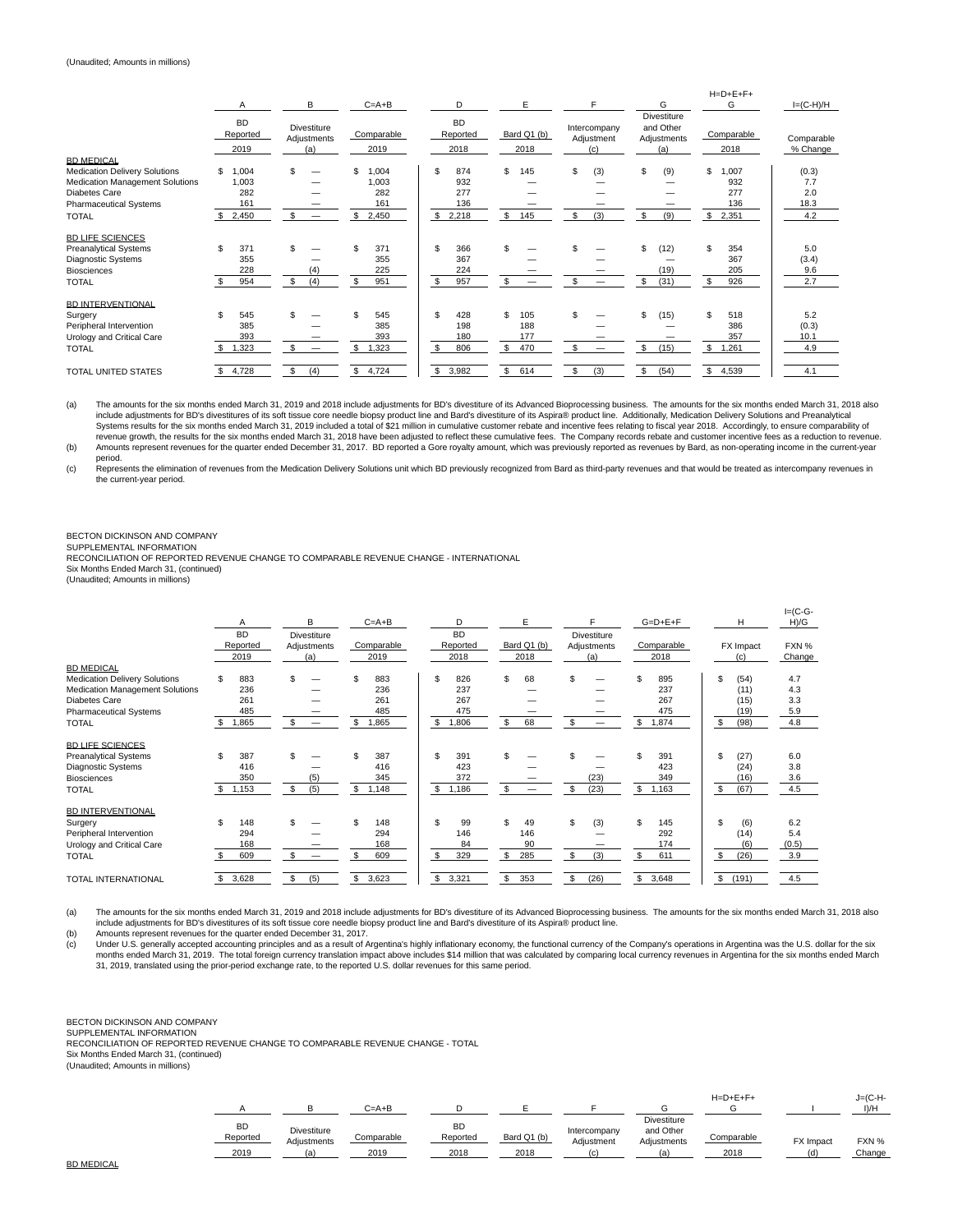|                                                                                                                                                                | Α                                          | В                                              | $C = A + B$                                     | D                                             | E                                     |                                   | G                                                     | $H=D+E+F+$<br>G                                 | $I=(C-H)/H$                        |
|----------------------------------------------------------------------------------------------------------------------------------------------------------------|--------------------------------------------|------------------------------------------------|-------------------------------------------------|-----------------------------------------------|---------------------------------------|-----------------------------------|-------------------------------------------------------|-------------------------------------------------|------------------------------------|
|                                                                                                                                                                | <b>BD</b><br>Reported<br>2019              | <b>Divestiture</b><br>Adjustments<br>(a)       | Comparable<br>2019                              | <b>BD</b><br>Reported<br>2018                 | Bard Q1 (b)<br>2018                   | Intercompany<br>Adjustment<br>(c) | <b>Divestiture</b><br>and Other<br>Adjustments<br>(a) | Comparable<br>2018                              | Comparable<br>% Change             |
| <b>BD MEDICAL</b><br>Medication Delivery Solutions<br><b>Medication Management Solutions</b><br>Diabetes Care<br><b>Pharmaceutical Systems</b><br><b>TOTAL</b> | ,004<br>\$<br>1,003<br>282<br>161<br>2,450 | \$<br>-<br>-<br>\$<br>$\overline{\phantom{m}}$ | \$<br>004<br>1,003<br>282<br>161<br>\$<br>2,450 | 874<br>S<br>932<br>277<br>136<br>\$.<br>2,218 | \$<br>145<br>S<br>145                 | \$<br>(3)<br>\$<br>(3)            | \$<br>(9)<br>\$<br>(9)                                | \$<br>1,007<br>932<br>277<br>136<br>\$<br>2,351 | (0.3)<br>7.7<br>2.0<br>18.3<br>4.2 |
| <b>BD LIFE SCIENCES</b><br><b>Preanalytical Systems</b><br>Diagnostic Systems<br><b>Biosciences</b><br><b>TOTAL</b>                                            | \$<br>371<br>355<br>228<br>954             | (4)<br>(4)<br>\$                               | 371<br>355<br>225<br>951<br>\$                  | \$<br>366<br>367<br>224<br>S<br>957           | \$<br>\$                              | \$.                               | (12)<br>\$.<br>(19)<br>\$<br>(31)                     | \$.<br>354<br>367<br>205<br>926<br>\$           | 5.0<br>(3.4)<br>9.6<br>2.7         |
| <b>BD INTERVENTIONAL</b><br>Surgery<br>Peripheral Intervention<br>Urology and Critical Care<br><b>TOTAL</b>                                                    | 545<br>\$<br>385<br>393<br>1,323           | \$.<br>-                                       | 545<br>385<br>393<br>,323                       | 428<br>\$.<br>198<br>180<br>806<br>\$.        | \$.<br>105<br>188<br>177<br>\$<br>470 | \$<br>\$                          | (15)<br>\$<br>\$<br>(15)                              | 518<br>\$<br>386<br>357<br>\$<br>1,261          | 5.2<br>(0.3)<br>10.1<br>4.9        |
| <b>TOTAL UNITED STATES</b>                                                                                                                                     | 4,728                                      | (4)<br>\$                                      | 4,724<br>\$.                                    | \$<br>3,982                                   | \$.<br>614                            | \$.<br>(3)                        | \$.<br>(54)                                           | \$.<br>4,539                                    | 4.1                                |

(a) The amounts for the six months ended March 31, 2019 and 2018 include adjustments for BD's divestiture of its Advanced Bioprocessing business. The amounts for the six months ended March 31, 2018 also include adjustments for BD's divestitures of its soft tissue core needle biopsy product line and Bard's divestiture of its Aspira® product line. Additionally, Medication Delivery Solutions and Preanalytical Systems results for the six months ended March 31, 2019 included a total of \$21 million in cumulative customer rebate and incentive fees relating to fiscal year 2018. Accordingly, to ensure comparability of<br>revenue growth,

period. (c) Represents the elimination of revenues from the Medication Delivery Solutions unit which BD previously recognized from Bard as third-party revenues and that would be treated as intercompany revenues in the current-year period.

## BECTON DICKINSON AND COMPANY

SUPPLEMENTAL INFORMATION

RECONCILIATION OF REPORTED REVENUE CHANGE TO COMPARABLE REVENUE CHANGE - INTERNATIONAL

Six Months Ended March 31, (continued) (Unaudited; Amounts in millions)

|                                      |              | B                              | $C = A + B$ | D           | E           | Е                  | $G=D+E+F$   | H           | $I = (C - G -$<br>H)/G |
|--------------------------------------|--------------|--------------------------------|-------------|-------------|-------------|--------------------|-------------|-------------|------------------------|
|                                      | <b>BD</b>    | <b>Divestiture</b>             |             | <b>BD</b>   |             | <b>Divestiture</b> |             |             |                        |
|                                      | Reported     | Adjustments                    | Comparable  | Reported    | Bard Q1 (b) | Adjustments        | Comparable  | FX Impact   | FXN %                  |
|                                      | 2019         | (a)                            | 2019        | 2018        | 2018        | (a)                | 2018        | (c)         | Change                 |
| <b>BD MEDICAL</b>                    |              |                                |             |             |             |                    |             |             |                        |
| <b>Medication Delivery Solutions</b> | \$<br>883    | \$                             | \$<br>883   | \$.<br>826  | \$.<br>68   | \$.                | \$<br>895   | \$<br>(54)  | 4.7                    |
| Medication Management Solutions      | 236          |                                | 236         | 237         |             |                    | 237         | (11)        | 4.3                    |
| <b>Diabetes Care</b>                 | 261          |                                | 261         | 267         |             |                    | 267         | (15)        | 3.3                    |
| <b>Pharmaceutical Systems</b>        | 485          |                                | 485         | 475         |             |                    | 475         | (19)        | 5.9                    |
| <b>TOTAL</b>                         | 1,865        | \$<br>-                        | .865        | \$<br>806,  | 68<br>S     | \$                 | \$<br>1,874 | \$<br>(98)  | 4.8                    |
| <b>BD LIFE SCIENCES</b>              |              |                                |             |             |             |                    |             |             |                        |
| <b>Preanalytical Systems</b>         | \$<br>387    | \$                             | 387         | \$<br>391   |             |                    | \$<br>391   | \$<br>(27)  | 6.0                    |
| <b>Diagnostic Systems</b>            | 416          |                                | 416         | 423         |             |                    | 423         | (24)        | 3.8                    |
| <b>Biosciences</b>                   | 350          | (5)                            | 345         | 372         |             | (23)               | 349         | (16)        | 3.6                    |
| <b>TOTAL</b>                         | 1,153<br>\$  | \$<br>(5)                      | \$<br>1,148 | s.<br>1,186 | \$.         | \$<br>(23)         | \$<br>1,163 | \$<br>(67)  | 4.5                    |
| <b>BD INTERVENTIONAL</b>             |              |                                |             |             |             |                    |             |             |                        |
| Surgery                              | \$<br>148    | \$                             | 148         | \$<br>99    | \$.<br>49   | S<br>(3)           | \$<br>145   | \$<br>(6)   | 6.2                    |
| Peripheral Intervention              | 294          |                                | 294         | 146         | 146         |                    | 292         | (14)        | 5.4                    |
| Urology and Critical Care            | 168          |                                | 168         | 84          | 90          |                    | 174         | (6)         | (0.5)                  |
| <b>TOTAL</b>                         | 609<br>\$.   | \$<br>$\overline{\phantom{a}}$ | 609         | \$.<br>329  | \$<br>285   | s.<br>(3)          | \$<br>611   | \$<br>(26)  | 3.9                    |
| <b>TOTAL INTERNATIONAL</b>           | 3,628<br>\$. | \$<br>(5)                      | \$<br>3,623 | \$<br>3,321 | \$.<br>353  | \$.<br>(26)        | \$<br>3,648 | \$<br>(191) | 4.5                    |

(a) The amounts for the six months ended March 31, 2019 and 2018 include adjustments for BD's divestiture of its Advanced Bioprocessing business. The amounts for the six months ended March 31, 2018 also include adjustments for BD's divestitures of its soft tissue core needle biopsy product line and Bard's divestiture of its Aspira® product line.

(b) Amounts represent revenues for the quarter ended December 31, 2017.<br>(c) Under U.S. generally accepted accounting principles and as a result of  $P$ Under U.S. generally accepted accounting principles and as a result of Argentina's highly inflationary economy, the functional currency of the Company's operations in Argentina was the U.S. dollar for the six months ended March 31, 2019. The total foreign currency translation impact above includes \$14 million that was calculated by comparing local currency revenues in Argentina for the six months ended March<br>31, 2019, translate

BECTON DICKINSON AND COMPANY

SUPPLEMENTAL INFORMATION

RECONCILIATION OF REPORTED REVENUE CHANGE TO COMPARABLE REVENUE CHANGE - TOTAL Six Months Ended March 31, (continued)

(Unaudited; Amounts in millions)

|                               |                                          | $C = A + B$        |                               |                     |                                   |                                                       | $H = D + E + F +$  |                  | $J=(C-H-$<br>$I$ )/ $H$ |
|-------------------------------|------------------------------------------|--------------------|-------------------------------|---------------------|-----------------------------------|-------------------------------------------------------|--------------------|------------------|-------------------------|
| <b>BD</b><br>Reported<br>2019 | <b>Divestiture</b><br>Adjustments<br>(a) | Comparable<br>2019 | <b>BD</b><br>Reported<br>2018 | Bard Q1 (b)<br>2018 | Intercompany<br>Adjustment<br>(n) | <b>Divestiture</b><br>and Other<br>Adjustments<br>(a) | Comparable<br>2018 | <b>FX Impact</b> | FXN %<br>Change         |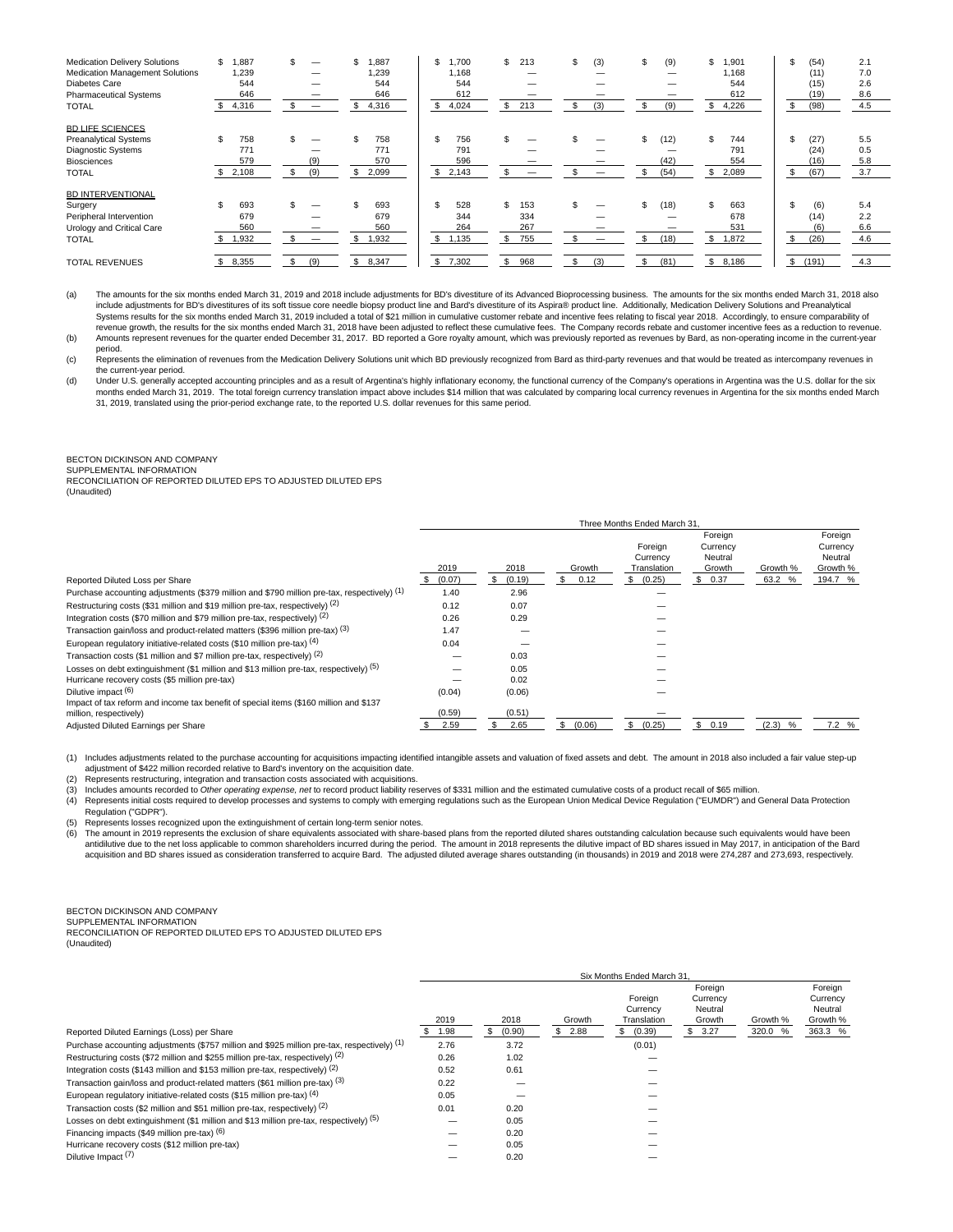| <b>Medication Delivery Solutions</b><br><b>Medication Management Solutions</b><br>Diabetes Care<br><b>Pharmaceutical Systems</b><br><b>TOTAL</b> | ,887<br>\$<br>1,239<br>544<br>646<br>4,316<br>\$ | \$<br>-<br>-<br>$\overline{\phantom{m}}$ | 1.887<br>1.239<br>544<br>646<br>\$<br>4,316 | .700<br>\$<br>1.168<br>544<br>612<br>\$<br>4,024 | \$<br>213<br>_<br>213<br>\$.         | (3)<br>\$<br>$\overline{\phantom{a}}$<br>(3)<br>\$ | \$<br>(9)<br>(9)                 | \$<br>1,901<br>1.168<br>544<br>612<br>4,226 | \$<br>(54)<br>(11)<br>(15)<br>(19)<br>(98)<br>\$ | 2.1<br>7.0<br>2.6<br>8.6<br>4.5 |
|--------------------------------------------------------------------------------------------------------------------------------------------------|--------------------------------------------------|------------------------------------------|---------------------------------------------|--------------------------------------------------|--------------------------------------|----------------------------------------------------|----------------------------------|---------------------------------------------|--------------------------------------------------|---------------------------------|
| <b>BD LIFE SCIENCES</b>                                                                                                                          |                                                  |                                          |                                             |                                                  |                                      |                                                    |                                  |                                             |                                                  |                                 |
| <b>Preanalytical Systems</b><br><b>Diagnostic Systems</b><br>Biosciences<br><b>TOTAL</b>                                                         | 758<br>771<br>579<br>2,108<br>\$                 | \$<br>_<br>(9)<br>(9)<br>\$              | 758<br>771<br>570<br>\$<br>2,099            | S<br>756<br>791<br>596<br>s.<br>2,143            | _                                    | -                                                  | \$<br>(12)<br>(42)<br>(54)<br>\$ | \$<br>744<br>791<br>554<br>\$<br>2,089      | \$<br>(27)<br>(24)<br>(16)<br>(67)<br>\$         | 5.5<br>0.5<br>5.8<br>3.7        |
| <b>BD INTERVENTIONAL</b>                                                                                                                         |                                                  |                                          |                                             |                                                  |                                      |                                                    |                                  |                                             |                                                  |                                 |
| Surgery<br>Peripheral Intervention<br>Urology and Critical Care<br><b>TOTAL</b>                                                                  | 693<br>679<br>560<br>1,932                       | _<br>£.<br>$\overline{\phantom{0}}$      | 693<br>679<br>560<br>1,932                  | \$.<br>528<br>344<br>264<br>S<br>1,135           | \$<br>153<br>334<br>267<br>\$<br>755 | \$<br>\$<br>$\overline{\phantom{m}}$               | \$<br>(18)<br>-<br>(18)<br>\$    | \$.<br>663<br>678<br>531<br>S.<br>1,872     | (6)<br>(14)<br>(6)<br>(26)<br>S                  | 5.4<br>2.2<br>6.6<br>4.6        |
| <b>TOTAL REVENUES</b>                                                                                                                            | 8,355                                            | (9)<br>\$                                | \$<br>8,347                                 | \$<br>7,302                                      | \$<br>968                            | \$<br>(3)                                          | \$<br>(81)                       | S<br>8,186                                  | \$<br>(191)                                      | 4.3                             |

(a) The amounts for the six months ended March 31, 2019 and 2018 include adjustments for BD's divestiture of its Advanced Bioprocessing business. The amounts for the six months ended March 31, 2018 also include adjustments for BD's divestitures of its soft tissue core needle biopsy product line and Bard's divestiture of its Aspira® product line. Additionally, Medication Delivery Solutions and Preanalytical<br>Systems result revenue growth, the results for the six months ended March 31, 2018 have been adjusted to reflect these cumulative fees. The Company records rebate and customer incentive fees as a reduction to revenue. (b) Amounts represent revenues for the quarter ended December 31, 2017. BD reported a Gore royalty amount, which was previously reported as revenues by Bard, as non-operating income in the current-year

period.

(c) Represents the elimination of revenues from the Medication Delivery Solutions unit which BD previously recognized from Bard as third-party revenues and that would be treated as intercompany revenues in the current-year period.

(d) Under U.S. generally accepted accounting principles and as a result of Argentina's highly inflationary economy, the functional currency of the Company's operations in Argentina was the U.S. dollar for the six months ended March 31, 2019. The total foreign currency translation impact above includes \$14 million that was calculated by comparing local currency revenues in Argentina for the six months ended March<br>31, 2019, translate

## BECTON DICKINSON AND COMPANY

SUPPLEMENTAL INFORMATION RECONCILIATION OF REPORTED DILUTED EPS TO ADJUSTED DILUTED EPS

(Unaudited)

|                                                                                                                 |        |        |              | Three Months Ended March 31        |                                          |            |                                            |
|-----------------------------------------------------------------------------------------------------------------|--------|--------|--------------|------------------------------------|------------------------------------------|------------|--------------------------------------------|
|                                                                                                                 | 2019   | 2018   | Growth       | Foreign<br>Currency<br>Translation | Foreign<br>Currency<br>Neutral<br>Growth | Growth %   | Foreign<br>Currency<br>Neutral<br>Growth % |
| Reported Diluted Loss per Share                                                                                 | (0.07) | (0.19) | 0.12         | \$ (0.25)                          | \$0.37                                   | 63.2 %     | 194.7 %                                    |
| Purchase accounting adjustments (\$379 million and \$790 million pre-tax, respectively) (1)                     | 1.40   | 2.96   |              |                                    |                                          |            |                                            |
| Restructuring costs (\$31 million and \$19 million pre-tax, respectively) (2)                                   | 0.12   | 0.07   |              |                                    |                                          |            |                                            |
| Integration costs (\$70 million and \$79 million pre-tax, respectively) (2)                                     | 0.26   | 0.29   |              |                                    |                                          |            |                                            |
| Transaction gain/loss and product-related matters (\$396 million pre-tax) (3)                                   | 1.47   |        |              |                                    |                                          |            |                                            |
| European regulatory initiative-related costs (\$10 million pre-tax) (4)                                         | 0.04   |        |              |                                    |                                          |            |                                            |
| Transaction costs (\$1 million and \$7 million pre-tax, respectively) (2)                                       |        | 0.03   |              |                                    |                                          |            |                                            |
| Losses on debt extinguishment (\$1 million and \$13 million pre-tax, respectively) (5)                          |        | 0.05   |              |                                    |                                          |            |                                            |
| Hurricane recovery costs (\$5 million pre-tax)                                                                  |        | 0.02   |              |                                    |                                          |            |                                            |
| Dilutive impact (6)                                                                                             | (0.04) | (0.06) |              |                                    |                                          |            |                                            |
| Impact of tax reform and income tax benefit of special items (\$160 million and \$137<br>million, respectively) | (0.59) | (0.51) |              |                                    |                                          |            |                                            |
| Adjusted Diluted Earnings per Share                                                                             | 2.59   | 2.65   | (0.06)<br>\$ | (0.25)<br>s.                       | \$0.19                                   | (2.3)<br>% | 7.2 %                                      |

(1) Includes adjustments related to the purchase accounting for acquisitions impacting identified intangible assets and valuation of fixed assets and debt. The amount in 2018 also included a fair value step-up adjustment of \$422 million recorded relative to Bard's inventory on the acquisition date.

(2) Represents restructuring, integration and transaction costs associated with acquisitions.

(3) Includes amounts recorded to Other operating expense, net to record product liability reserves of \$331 million and the estimated cumulative costs of a product recall of \$65 million.<br>(4) Represents initial costs require

Represents initial costs required to develop processes and systems to comply with emerging regulations such as the European Union Medical Device Regulation ("EUMDR") and General Data Protection Regulation ("GDPR").

(5) Represents losses recognized upon the extinguishment of certain long-term senior notes.<br>(6) The amount in 2019 represents the exclusion of share equivalents associated with share-

The amount in 2019 represents the exclusion of share equivalents associated with share-based plans from the reported diluted shares outstanding calculation because such equivalents would have been antidilutive due to the net loss applicable to common shareholders incurred during the period. The amount in 2018 represents the dilutive impact of BD shares issued in May 2017, in anticipation of the Bard<br>acquisition and

BECTON DICKINSON AND COMPANY

SUPPLEMENTAL INFORMATION

RECONCILIATION OF REPORTED DILUTED EPS TO ADJUSTED DILUTED EPS

(Unaudited)

|                                                                                             | Six Months Ended March 31 |        |             |             |            |          |          |  |
|---------------------------------------------------------------------------------------------|---------------------------|--------|-------------|-------------|------------|----------|----------|--|
|                                                                                             |                           |        |             |             | Foreian    |          | Foreian  |  |
|                                                                                             |                           |        |             | Foreign     | Currency   |          | Currency |  |
|                                                                                             |                           |        |             | Currency    | Neutral    |          | Neutral  |  |
|                                                                                             | 2019                      | 2018   | Growth      | Translation | Growth     | Growth % | Growth % |  |
| Reported Diluted Earnings (Loss) per Share                                                  | 1.98                      | (0.90) | 2.88<br>SS. | (0.39)      | 3.27<br>s. | 320.0 %  | 363.3 %  |  |
| Purchase accounting adjustments (\$757 million and \$925 million pre-tax, respectively) (1) | 2.76                      | 3.72   |             | (0.01)      |            |          |          |  |
| Restructuring costs (\$72 million and \$255 million pre-tax, respectively) (2)              | 0.26                      | 1.02   |             |             |            |          |          |  |
| Integration costs (\$143 million and \$153 million pre-tax, respectively) (2)               | 0.52                      | 0.61   |             |             |            |          |          |  |
| Transaction gain/loss and product-related matters (\$61 million pre-tax) (3)                | 0.22                      |        |             |             |            |          |          |  |
| European regulatory initiative-related costs (\$15 million pre-tax) (4)                     | 0.05                      |        |             |             |            |          |          |  |
| Transaction costs (\$2 million and \$51 million pre-tax, respectively) (2)                  | 0.01                      | 0.20   |             |             |            |          |          |  |
| Losses on debt extinguishment (\$1 million and \$13 million pre-tax, respectively) (5)      |                           | 0.05   |             |             |            |          |          |  |
| Financing impacts (\$49 million pre-tax) (6)                                                |                           | 0.20   |             |             |            |          |          |  |
| Hurricane recovery costs (\$12 million pre-tax)                                             |                           | 0.05   |             |             |            |          |          |  |
| Dilutive Impact <sup>(7)</sup>                                                              |                           | 0.20   |             |             |            |          |          |  |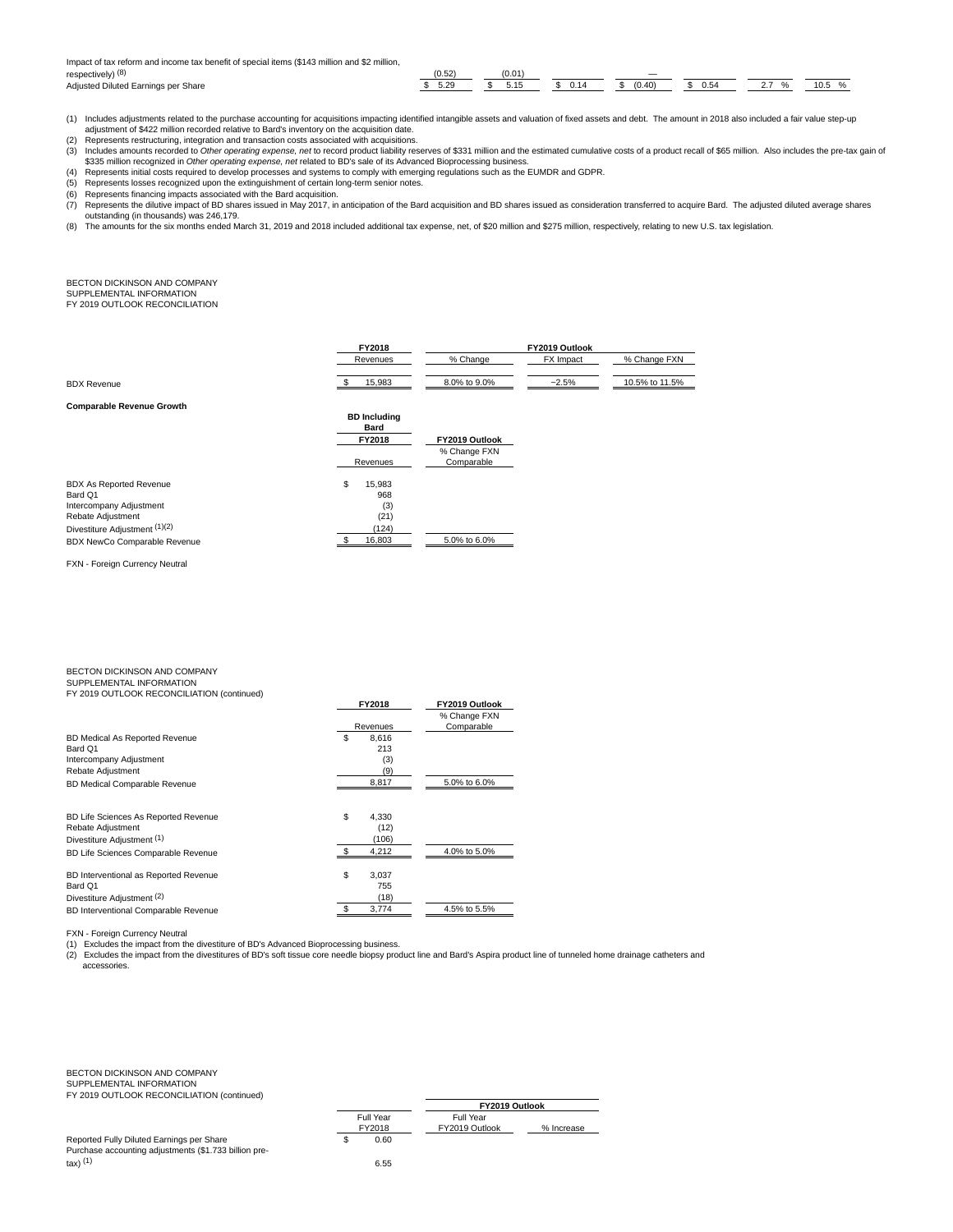Impact of tax reform and income tax benefit of special items (\$143 million and \$2 million,

| respectively) (8)                             |      | 1 U.L        |      | $\overline{\phantom{a}}$ |      |   |      |
|-----------------------------------------------|------|--------------|------|--------------------------|------|---|------|
| hetzuibA<br>Diluted<br>Share<br>-arnings<br>. | 5.29 | $ -$<br>5.15 | 0.14 | (0.40)                   | 0.54 | . | 10.5 |

- (1) Includes adjustments related to the purchase accounting for acquisitions impacting identified intangible assets and valuation of fixed assets and debt. The amount in 2018 also included a fair value step-up
- adjustment of \$422 million recorded relative to Bard's inventory on the acquisition date. (2) Represents restructuring, integration and transaction costs associated with acquisitions.
- (3) Includes amounts recorded to Other operating expense, net to record product liability reserves of \$331 million and the estimated cumulative costs of a product recall of \$65 million. Also includes the pre-tax gain of<br>\$3
- (4) Represents initial costs required to develop processes and systems to comply with emerging regulations such as the EUMDR and GDPR.
- (5) Represents losses recognized upon the extinguishment of certain long-term senior notes. (6) Represents financing impacts associated with the Bard acquisition.
- 
- (7) Represents the dilutive impact of BD shares issued in May 2017, in anticipation of the Bard acquisition and BD shares issued as consideration transferred to acquire Bard. The adjusted diluted average shares outstanding (in thousands) was 246,179.<br>(8) The amounts for the six months ended March 31, 2019 and 2018 included additional tax expense, net, of \$20 million and \$275 million, respectively, relating to new U.S. tax legisla
- 

BECTON DICKINSON AND COMPANY SUPPLEMENTAL INFORMATION FY 2019 OUTLOOK RECONCILIATION

|                                  | FY2018              | FY2019 Outlook |                  |                |  |
|----------------------------------|---------------------|----------------|------------------|----------------|--|
|                                  | Revenues            | % Change       | <b>FX</b> Impact | % Change FXN   |  |
| <b>BDX Revenue</b>               | 15.983              | 8.0% to 9.0%   | $~2.5\%$         | 10.5% to 11.5% |  |
| <b>Comparable Revenue Growth</b> | <b>BD</b> Including |                |                  |                |  |
|                                  |                     |                |                  |                |  |

|                                |                    | Bard   |                            |
|--------------------------------|--------------------|--------|----------------------------|
|                                | FY2018<br>Revenues |        | FY2019 Outlook             |
|                                |                    |        | % Change FXN<br>Comparable |
| <b>BDX As Reported Revenue</b> | S                  | 15.983 |                            |
| Bard Q1                        |                    | 968    |                            |
| Intercompany Adjustment        |                    | (3)    |                            |
| Rebate Adjustment              |                    | (21)   |                            |
| Divestiture Adjustment (1)(2)  |                    | (124)  |                            |
| BDX NewCo Comparable Revenue   |                    | 16.803 | 5.0% to 6.0%               |

FXN - Foreign Currency Neutral

### BECTON DICKINSON AND COMPANY SUPPLEMENTAL INFORMATION

FY 2019 OUTLOOK RECONCILIATION (continued)

|                                       | FY2018        | FY2019 Outlook |
|---------------------------------------|---------------|----------------|
|                                       |               | % Change FXN   |
|                                       | Revenues      | Comparable     |
| BD Medical As Reported Revenue        | S<br>8.616    |                |
| Bard Q1                               | 213           |                |
| Intercompany Adjustment               | (3)           |                |
| Rebate Adjustment                     | (9)           |                |
| <b>BD Medical Comparable Revenue</b>  | 8,817         | 5.0% to 6.0%   |
| BD Life Sciences As Reported Revenue  | \$<br>4.330   |                |
| Rebate Adjustment                     | (12)          |                |
| Divestiture Adiustment (1)            | (106)         |                |
| BD Life Sciences Comparable Revenue   | - \$<br>4.212 | 4.0% to 5.0%   |
| BD Interventional as Reported Revenue | \$<br>3.037   |                |
| Bard Q1                               | 755           |                |
| Divestiture Adjustment (2)            | (18)          |                |
| BD Interventional Comparable Revenue  | 3,774         | 4.5% to 5.5%   |

FXN - Foreign Currency Neutral

(1) Excludes the impact from the divestiture of BD's Advanced Bioprocessing business.<br>(2) Excludes the impact from the divestitures of BD's soft tissue core needle biopsy product line and Bard's Aspira product line of tunn accessories.

BECTON DICKINSON AND COMPANY SUPPLEMENTAL INFORMATION FY 2019 OUTLOOK RECONCILIATION (continued)

| Reported Fully Diluted Earnings per Share             | 0.60 |
|-------------------------------------------------------|------|
| Purchase accounting adjustments (\$1.733 billion pre- |      |
| tax) <sup>(1)</sup>                                   | 6.55 |

|                     |                             | FY2019 Outlook |  |
|---------------------|-----------------------------|----------------|--|
| Full Year<br>FY2018 | Full Year<br>FY2019 Outlook | % Increase     |  |
| 0.60                |                             |                |  |